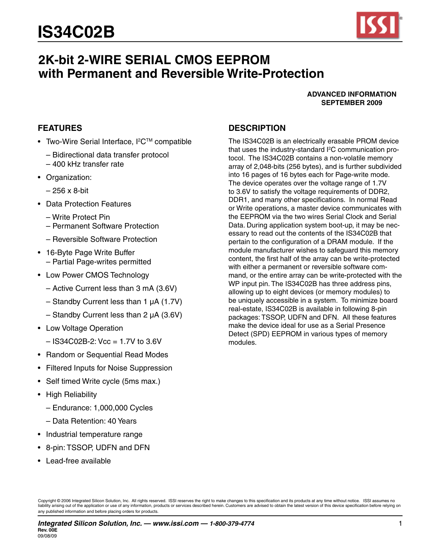

# **2K-bit 2-WIRE SERIAL CMOS EEPROM with Permanent and Reversible Write-Protection**

#### **ADVANCED INFORMATION SEPTEMBER 2009**

## **FEATURES**

- Two-Wire Serial Interface, I<sup>2</sup>C™ compatible
	- Bidirectional data transfer protocol
	- 400 kHz transfer rate
- Organization:
	- 256 x 8-bit
- • Data Protection Features
	- Write Protect Pin
	- Permanent Software Protection
	- Reversible Software Protection
- • 16-Byte Page Write Buffer – Partial Page-writes permitted
- Low Power CMOS Technology
	- Active Current less than 3 mA (3.6V)
	- Standby Current less than 1 µA (1.7V)
	- Standby Current less than 2 µA (3.6V)
- Low Voltage Operation
	- $-$  IS34C02B-2: Vcc = 1.7V to 3.6V
- Random or Sequential Read Modes
- • Filtered Inputs for Noise Suppression
- Self timed Write cycle (5ms max.)
- High Reliability
	- Endurance: 1,000,000 Cycles
	- Data Retention: 40 Years
- Industrial temperature range
- 8-pin: TSSOP, UDFN and DFN
- • Lead-free available

## **Description**

The IS34C02B is an electrically erasable PROM device that uses the industry-standard I 2 C communication protocol. The IS34C02B contains a non-volatile memory array of 2,048-bits (256 bytes), and is further subdivided into 16 pages of 16 bytes each for Page-write mode. The device operates over the voltage range of 1.7V to 3.6V to satisfy the voltage requirements of DDR2, DDR1, and many other specifications. In normal Read or Write operations, a master device communicates with the EEPROM via the two wires Serial Clock and Serial Data. During application system boot-up, it may be necessary to read out the contents of the IS34C02B that pertain to the configuration of a DRAM module. If the module manufacturer wishes to safeguard this memory content, the first half of the array can be write-protected with either a permanent or reversible software command, or the entire array can be write-protected with the WP input pin. The IS34C02B has three address pins, allowing up to eight devices (or memory modules) to be uniquely accessible in a system. To minimize board real-estate, IS34C02B is available in following 8-pin packages: TSSOP, UDFN and DFN. All these features make the device ideal for use as a Serial Presence Detect (SPD) EEPROM in various types of memory modules.

Copyright © 2006 Integrated Silicon Solution, Inc. All rights reserved. ISSI reserves the right to make changes to this specification and its products at any time without notice. ISSI assumes no **use the application or use of any information, products or services described herein. Customers are advised to obtain the latest version of this device specification before relying on information, products or services des** any published information and before placing orders for products.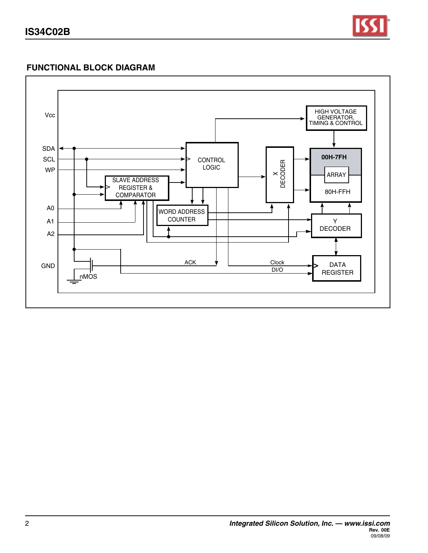

# **FUNCTIONAL BLOCK DIAGRAM**

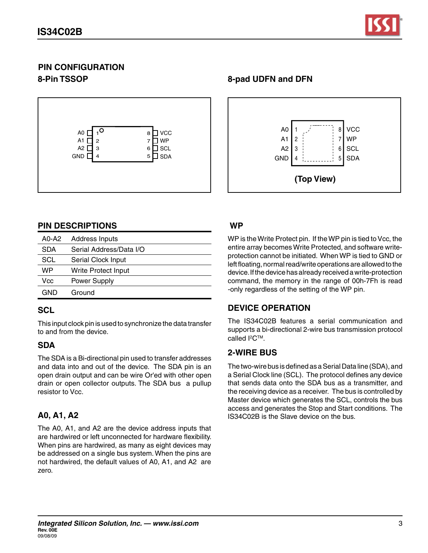

# **PIN CONFIGURATION 8-Pin TSSOP**



# **PIN DESCRIPTIONS**

| A0-A2      | <b>Address Inputs</b>   |
|------------|-------------------------|
| <b>SDA</b> | Serial Address/Data I/O |
| SCL        | Serial Clock Input      |
| WP         | Write Protect Input     |
| Vcc        | Power Supply            |
| GND        | Ground                  |

## **SCL**

This input clock pin is used to synchronize the data transfer to and from the device.

## **SDA**

The SDA is a Bi-directional pin used to transfer addresses and data into and out of the device. The SDA pin is an open drain output and can be wire Or'ed with other open drain or open collector outputs. The SDA bus a pullup resistor to Vcc.

# **A0, A1, A2**

The A0, A1, and A2 are the device address inputs that are hardwired or left unconnected for hardware flexibility. When pins are hardwired, as many as eight devices may be addressed on a single bus system.When the pins are not hardwired, the default values of A0, A1, and A2 are zero.



## **WP**

WP is the Write Protect pin. If the WP pin is tied to Vcc, the entire array becomes Write Protected, and software writeprotection cannot be initiated. When WP is tied to GND or left floating, normal read/write operations are allowed to the device. If the device has already received a write-protection command, the memory in the range of 00h-7Fh is read -only regardless of the setting of the WP pin.

## **DEVICE OPERATION**

The IS34C02B features a serial communication and supports a bi-directional 2-wire bus transmission protocol called  $l^2C^{TM}$ .

## **2-WIRE BUS**

The two-wire bus is defined as a Serial Data line (SDA), and a Serial Clock line (SCL). The protocol defines any device that sends data onto the SDA bus as a transmitter, and the receiving device as a receiver. The bus is controlled by Master device which generates the SCL, controls the bus access and generates the Stop and Start conditions. The IS34C02B is the Slave device on the bus.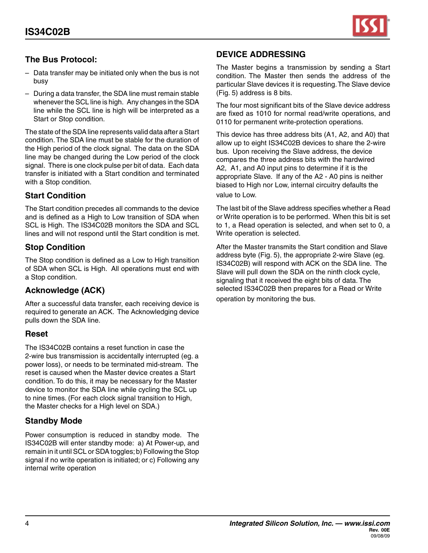

# **The Bus Protocol:**

- Data transfer may be initiated only when the bus is not busy
- During a data transfer, the SDA line must remain stable whenever the SCL line is high. Any changes in the SDA line while the SCL line is high will be interpreted as a Start or Stop condition.

The state of the SDA line represents valid data after a Start condition.The SDA line must be stable for the duration of the High period of the clock signal. The data on the SDA line may be changed during the Low period of the clock signal. There is one clock pulse per bit of data. Each data transfer is initiated with a Start condition and terminated with a Stop condition.

## **Start Condition**

The Start condition precedes all commands to the device and is defined as a High to Low transition of SDA when SCL is High. The IS34C02B monitors the SDA and SCL lines and will not respond until the Start condition is met.

## **Stop Condition**

The Stop condition is defined as a Low to High transition of SDA when SCL is High. All operations must end with a Stop condition.

## **Acknowledge (ACK)**

After a successful data transfer, each receiving device is required to generate an ACK. The Acknowledging device pulls down the SDA line.

## **Reset**

The IS34C02B contains a reset function in case the 2-wire bus transmission is accidentally interrupted (eg. a power loss), or needs to be terminated mid-stream. The reset is caused when the Master device creates a Start condition. To do this, it may be necessary for the Master device to monitor the SDA line while cycling the SCL up to nine times. (For each clock signal transition to High, the Master checks for a High level on SDA.)

## **Standby Mode**

Power consumption is reduced in standby mode. The IS34C02B will enter standby mode: a) At Power-up, and remain in it until SCL or SDA toggles;b) Following the Stop signal if no write operation is initiated; or c) Following any internal write operation

## **DEVICE ADDRESSING**

The Master begins a transmission by sending a Start condition. The Master then sends the address of the particular Slave devices it is requesting.The Slave device (Fig. 5) address is 8 bits.

The four most significant bits of the Slave device address are fixed as 1010 for normal read/write operations, and 0110 for permanent write-protection operations.

This device has three address bits (A1, A2, and A0) that allow up to eight IS34C02B devices to share the 2-wire bus. Upon receiving the Slave address, the device compares the three address bits with the hardwired A2, A1, and A0 input pins to determine if it is the appropriate Slave. If any of the A2 - A0 pins is neither biased to High nor Low, internal circuitry defaults the value to Low.

The last bit of the Slave address specifies whether a Read or Write operation is to be performed. When this bit is set to 1, a Read operation is selected, and when set to 0, a Write operation is selected.

After the Master transmits the Start condition and Slave address byte (Fig. 5), the appropriate 2-wire Slave (eg. IS34C02B) will respond with ACK on the SDA line. The Slave will pull down the SDA on the ninth clock cycle, signaling that it received the eight bits of data. The selected IS34C02B then prepares for a Read or Write operation by monitoring the bus.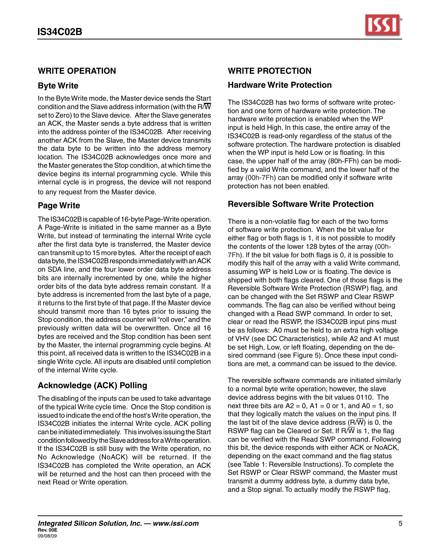## **WRITE OPERATION**

## **Byte Write**

In the Byte Write mode, the Master device sends the Start condition and the Slave address information (with the  $R/\overline{W}$ set to Zero) to the Slave device. After the Slave generates an ACK, the Master sends a byte address that is written into the address pointer of the IS34C02B. After receiving another ACK from the Slave, the Master device transmits the data byte to be written into the address memory location. The IS34C02B acknowledges once more and the Master generates the Stop condition, at which time the device begins its internal programming cycle. While this internal cycle is in progress, the device will not respond to any request from the Master device.

## **Page Write**

The IS34C02B is capable of 16-byte Page-Write operation. A Page-Write is initiated in the same manner as a Byte Write, but instead of terminating the internal Write cycle after the first data byte is transferred, the Master device can transmit up to 15 more bytes. After the receipt of each data byte, the IS34C02B responds immediately with an ACK on SDA line, and the four lower order data byte address bits are internally incremented by one, while the higher order bits of the data byte address remain constant. If a byte address is incremented from the last byte of a page, it returns to the first byte of that page. If the Master device should transmit more than 16 bytes prior to issuing the Stop condition, the address counter will "roll over," and the previously written data will be overwritten. Once all 16 bytes are received and the Stop condition has been sent by the Master, the internal programming cycle begins. At this point, all received data is written to the IS34C02B in a single Write cycle.All inputs are disabled until completion of the internal Write cycle.

# **Acknowledge (ACK) Polling**

The disabling of the inputs can be used to take advantage of the typical Write cycle time. Once the Stop condition is issued to indicate the end of the host'sWrite operation, the IS34C02B initiates the internal Write cycle. ACK polling can be initiated immediately. This involves issuing the Start condition followed by the Slave address for a Write operation. If the IS34C02B is still busy with the Write operation, no No Acknowledge (NoACK) will be returned. If the IS34C02B has completed the Write operation, an ACK will be returned and the host can then proceed with the next Read or Write operation.

# **Write Protection**

## **Hardware Write Protection**

The IS34C02B has two forms of software write protection and one form of hardware write protection. The hardware write protection is enabled when the WP input is held High. In this case, the entire array of the IS34C02B is read-only regardless of the status of the software protection. The hardware protection is disabled when the WP input is held Low or is floating. In this case, the upper half of the array (80h-FFh) can be modified by a valid Write command, and the lower half of the array (00h-7Fh) can be modified only if software write protection has not been enabled.

# **Reversible Software Write Protection**

There is a non-volatile flag for each of the two forms of software write protection. When the bit value for either flag or both flags is 1, it is not possible to modify the contents of the lower 128 bytes of the array (00h-7Fh). If the bit value for both flags is 0, it is possible to modify this half of the array with a valid Write command, assuming WP is held Low or is floating. The device is shipped with both flags cleared. One of those flags is the Reversible Software Write Protection (RSWP) flag, and can be changed with the Set RSWP and Clear RSWP commands. The flag can also be verified without being changed with a Read SWP command. In order to set, clear or read the RSWP, the IS34C02B input pins must be as follows: A0 must be held to an extra high voltage of VHV (see DC Characteristics), while A2 and A1 must be set High, Low, or left floating, depending on the desired command (see Figure 5). Once these input conditions are met, a command can be issued to the device.

The reversible software commands are initiated similarly to a normal byte write operation; however, the slave device address begins with the bit values 0110. The next three bits are  $A2 = 0$ ,  $A1 = 0$  or 1, and  $A0 = 1$ , so that they logically match the values on the input pins. If the last bit of the slave device address  $(R/\overline{W})$  is 0, the RSWP flag can be Cleared or Set. If  $R/\overline{W}$  is 1, the flag can be verified with the Read SWP command. Following this bit, the device responds with either ACK or NoACK, depending on the exact command and the flag status (see Table 1: Reversible Instructions). To complete the Set RSWP or Clear RSWP command, the Master must transmit a dummy address byte, a dummy data byte, and a Stop signal. To actually modify the RSWP flag,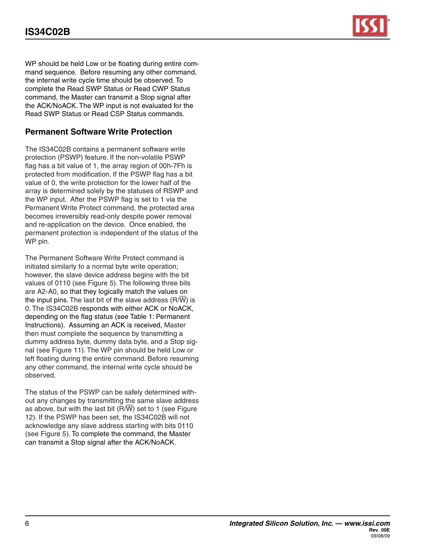WP should be held Low or be floating during entire command sequence. Before resuming any other command, the internal write cycle time should be observed. To complete the Read SWP Status or Read CWP Status command, the Master can transmit a Stop signal after the ACK/NoACK. The WP input is not evaluated for the Read SWP Status or Read CSP Status commands.

## **Permanent Software Write Protection**

The IS34C02B contains a permanent software write protection (PSWP) feature. If the non-volatile PSWP flag has a bit value of 1, the array region of 00h-7Fh is protected from modification. If the PSWP flag has a bit value of 0, the write protection for the lower half of the array is determined solely by the statuses of RSWP and the WP input. After the PSWP flag is set to 1 via the Permanent Write Protect command, the protected area becomes irreversibly read-only despite power removal and re-application on the device. Once enabled, the permanent protection is independent of the status of the WP pin.

The Permanent Software Write Protect command is initiated similarly to a normal byte write operation; however, the slave device address begins with the bit values of 0110 (see Figure 5). The following three bits are A2-A0, so that they logically match the values on the input pins. The last bit of the slave address  $(R/\overline{W})$  is 0. The IS34C02B responds with either ACK or NoACK, depending on the flag status (see Table 1: Permanent Instructions). Assuming an ACK is received, Master then must complete the sequence by transmitting a dummy address byte, dummy data byte, and a Stop signal (see Figure 11). The WP pin should be held Low or left floating during the entire command. Before resuming any other command, the internal write cycle should be observed.

The status of the PSWP can be safely determined without any changes by transmitting the same slave address as above, but with the last bit  $(R/\overline{W})$  set to 1 (see Figure 12). If the PSWP has been set, the IS34C02B will not acknowledge any slave address starting with bits 0110 (see Figure 5). To complete the command, the Master can transmit a Stop signal after the ACK/NoACK.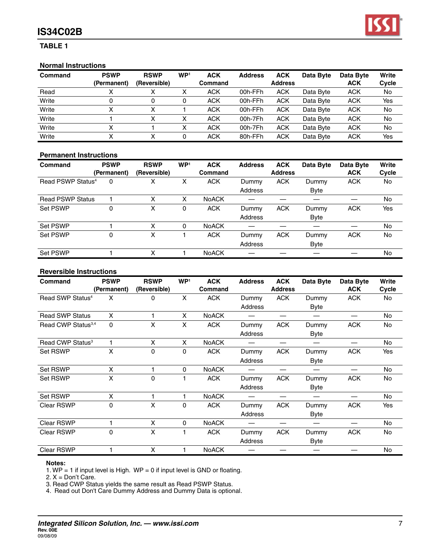# **IS34C02B**

#### **Table 1**

#### **Normal Instructions**

| Command | <b>PSWP</b><br>(Permanent) | <b>RSWP</b><br>(Reversible) | WP <sup>1</sup> | <b>ACK</b><br><b>Command</b> | <b>Address</b> | <b>ACK</b><br><b>Address</b> | Data Byte | Data Byte<br><b>ACK</b> | Write<br>Cycle |
|---------|----------------------------|-----------------------------|-----------------|------------------------------|----------------|------------------------------|-----------|-------------------------|----------------|
| Read    |                            |                             |                 | <b>ACK</b>                   | 00h-FFh        | <b>ACK</b>                   | Data Byte | <b>ACK</b>              | No             |
| Write   |                            |                             |                 | <b>ACK</b>                   | 00h-FFh        | <b>ACK</b>                   | Data Byte | <b>ACK</b>              | Yes            |
| Write   |                            |                             |                 | <b>ACK</b>                   | 00h-FFh        | <b>ACK</b>                   | Data Byte | <b>ACK</b>              | No             |
| Write   |                            | x                           | v               | <b>ACK</b>                   | 00h-7Fh        | <b>ACK</b>                   | Data Byte | <b>ACK</b>              | No             |
| Write   |                            |                             | ∧               | <b>ACK</b>                   | 00h-7Fh        | <b>ACK</b>                   | Data Byte | <b>ACK</b>              | No             |
| Write   |                            |                             |                 | <b>ACK</b>                   | 80h-FFh        | <b>ACK</b>                   | Data Byte | <b>ACK</b>              | Yes            |

#### **Permanent Instructions**

| Command                       | <b>PSWP</b><br>(Permanent) | <b>RSWP</b><br>(Reversible) | WP <sup>1</sup> | <b>ACK</b><br>Command | <b>Address</b> | <b>ACK</b><br><b>Address</b> | Data Byte | Data Byte<br><b>ACK</b> | Write<br>Cycle |
|-------------------------------|----------------------------|-----------------------------|-----------------|-----------------------|----------------|------------------------------|-----------|-------------------------|----------------|
| Read PSWP Status <sup>4</sup> | 0                          | х                           | х               | <b>ACK</b>            | Dummy          | <b>ACK</b>                   | Dummy     | <b>ACK</b>              | No             |
|                               |                            |                             |                 |                       | <b>Address</b> |                              | Byte      |                         |                |
| <b>Read PSWP Status</b>       |                            | x                           | x               | <b>NoACK</b>          |                |                              |           |                         | No             |
| <b>Set PSWP</b>               | 0                          | Χ                           | 0               | <b>ACK</b>            | Dummy          | <b>ACK</b>                   | Dummy     | <b>ACK</b>              | Yes            |
|                               |                            |                             |                 |                       | Address        |                              | Byte      |                         |                |
| <b>Set PSWP</b>               |                            | x                           | $\Omega$        | <b>NoACK</b>          |                |                              |           |                         | No             |
| Set PSWP                      | 0                          | x                           |                 | <b>ACK</b>            | Dummy          | <b>ACK</b>                   | Dummy     | <b>ACK</b>              | No             |
|                               |                            |                             |                 |                       | Address        |                              | Byte      |                         |                |
| <b>Set PSWP</b>               |                            | x                           |                 | <b>NoACK</b>          |                |                              |           |                         | No.            |

#### **Reversible Instructions**

| <b>Command</b>                 | <b>PSWP</b> | <b>RSWP</b>  | WP <sup>1</sup> | <b>ACK</b>   | <b>Address</b> | <b>ACK</b><br><b>Address</b> | Data Byte   | Data Byte<br><b>ACK</b> | Write |
|--------------------------------|-------------|--------------|-----------------|--------------|----------------|------------------------------|-------------|-------------------------|-------|
|                                | (Permanent) | (Reversible) |                 | Command      |                |                              |             |                         | Cycle |
| Read SWP Status <sup>4</sup>   | X           | 0            | X               | <b>ACK</b>   | Dummy          | <b>ACK</b>                   | Dummy       | <b>ACK</b>              | No    |
|                                |             |              |                 |              | Address        |                              | <b>Byte</b> |                         |       |
| <b>Read SWP Status</b>         | X           | 1            | X.              | <b>NoACK</b> |                |                              |             |                         | No    |
| Read CWP Status <sup>3,4</sup> | $\Omega$    | X            | X               | <b>ACK</b>   | Dummy          | <b>ACK</b>                   | Dummy       | <b>ACK</b>              | No    |
|                                |             |              |                 |              | Address        |                              | <b>Byte</b> |                         |       |
| Read CWP Status <sup>3</sup>   |             | X            | X               | <b>NoACK</b> |                |                              |             |                         | No    |
| <b>Set RSWP</b>                | X           | 0            | 0               | <b>ACK</b>   | Dummy          | <b>ACK</b>                   | Dummy       | <b>ACK</b>              | Yes   |
|                                |             |              |                 |              | Address        |                              | <b>Byte</b> |                         |       |
| <b>Set RSWP</b>                | X           | 1            | $\Omega$        | <b>NoACK</b> |                |                              |             |                         | No    |
| <b>Set RSWP</b>                | X           | $\Omega$     |                 | <b>ACK</b>   | Dummy          | <b>ACK</b>                   | Dummy       | <b>ACK</b>              | No    |
|                                |             |              |                 |              | Address        |                              | <b>Byte</b> |                         |       |
| <b>Set RSWP</b>                | X           |              |                 | <b>NoACK</b> |                |                              |             |                         | No    |
| <b>Clear RSWP</b>              | 0           | X            | 0               | <b>ACK</b>   | Dummy          | <b>ACK</b>                   | Dummy       | <b>ACK</b>              | Yes   |
|                                |             |              |                 |              | Address        |                              | <b>Byte</b> |                         |       |
| <b>Clear RSWP</b>              |             | X            | $\Omega$        | <b>NoACK</b> |                |                              |             |                         | No    |
| Clear RSWP                     | $\Omega$    | X            |                 | <b>ACK</b>   | Dummy          | <b>ACK</b>                   | Dummy       | <b>ACK</b>              | No    |
|                                |             |              |                 |              | Address        |                              | Byte        |                         |       |
| <b>Clear RSWP</b>              |             | X            |                 | <b>NoACK</b> |                |                              |             |                         | No    |

#### **Notes:**

1.  $WP = 1$  if input level is High.  $WP = 0$  if input level is GND or floating.

2.  $X = Don't Care$ .

3. Read CWP Status yields the same result as Read PSWP Status.

4. Read out Don't Care Dummy Address and Dummy Data is optional.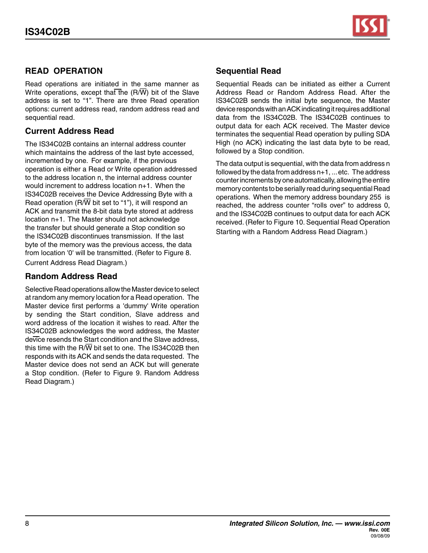

## **Read OPERATION**

Read operations are initiated in the same manner as Write operations, except that the  $(R/\overline{W})$  bit of the Slave address is set to "1". There are three Read operation options: current address read, random address read and sequential read.

## **Current Address Read**

The IS34C02B contains an internal address counter which maintains the address of the last byte accessed, incremented by one. For example, if the previous operation is either a Read or Write operation addressed to the address location n, the internal address counter would increment to address location n+1. When the IS34C02B receives the Device Addressing Byte with a Read operation (R/ $\overline{W}$  bit set to "1"), it will respond an ACK and transmit the 8-bit data byte stored at address location n+1. The Master should not acknowledge the transfer but should generate a Stop condition so the IS34C02B discontinues transmission. If the last byte of the memory was the previous access, the data from location '0' will be transmitted. (Refer to Figure 8. Current Address Read Diagram.)

## **Random Address Read**

Selective Read operations allow the Master device to select at random any memory location for a Read operation. The Master device first performs a 'dummy' Write operation by sending the Start condition, Slave address and word address of the location it wishes to read. After the IS34C02B acknowledges the word address, the Master device resends the Start condition and the Slave address, this time with the R/ $\overline{W}$  bit set to one. The IS34C02B then responds with its ACK and sends the data requested. The Master device does not send an ACK but will generate a Stop condition. (Refer to Figure 9. Random Address Read Diagram.)

## **Sequential Read**

Sequential Reads can be initiated as either a Current Address Read or Random Address Read. After the IS34C02B sends the initial byte sequence, the Master device responds with an ACK indicating it requires additional data from the IS34C02B. The IS34C02B continues to output data for each ACK received. The Master device terminates the sequential Read operation by pulling SDA High (no ACK) indicating the last data byte to be read, followed by a Stop condition.

The data output is sequential, with the data from address n followed by the data from address n+1, ...etc. The address counter increments by one automatically, allowing the entire memory contents to be serially read during sequential Read operations. When the memory address boundary 255 is reached, the address counter "rolls over" to address 0, and the IS34C02B continues to output data for each ACK received. (Refer to Figure 10. Sequential Read Operation Starting with a Random Address Read Diagram.)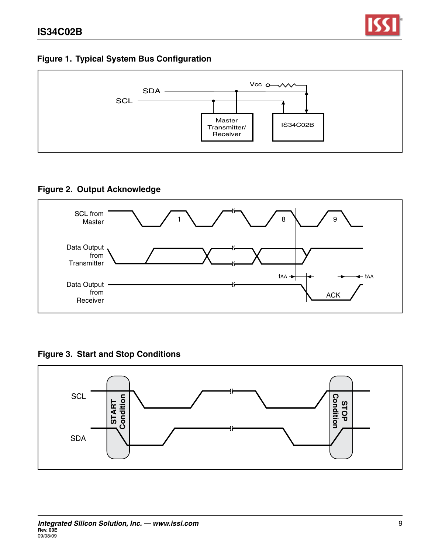

# **Figure 1. Typical System Bus Configuration**



# **Figure 2. Output Acknowledge**



**Figure 3. Start and Stop Conditions**

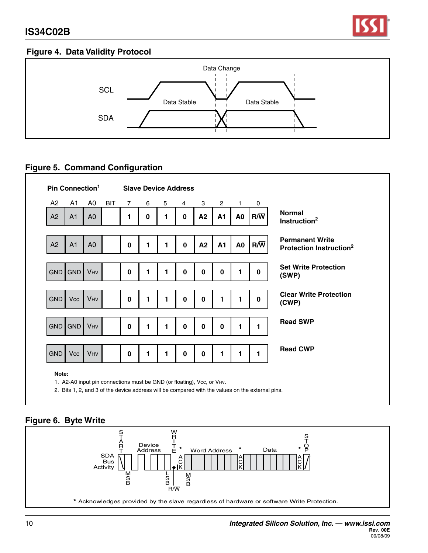

# **Figure 4. Data Validity Protocol**



# **Figure 5. Command Configuration**

| A2         | A1             | A0             | <b>BIT</b> | $\overline{7}$ | 6           | 5 | 4           | 3           | $\overline{2}$ | $\mathbf{1}$   | 0            |                                                               |
|------------|----------------|----------------|------------|----------------|-------------|---|-------------|-------------|----------------|----------------|--------------|---------------------------------------------------------------|
| A2         | A <sub>1</sub> | A <sub>0</sub> |            | 1              | $\mathbf 0$ | 1 | 0           | A2          | A1             | A <sub>0</sub> | $R/\sqrt{W}$ | <b>Normal</b><br>Instruction <sup>2</sup>                     |
|            |                |                |            |                |             |   |             |             |                |                |              |                                                               |
| A2         | A <sub>1</sub> | A <sub>0</sub> |            | $\mathbf 0$    | 1           | 1 | $\mathbf 0$ | A2          | <b>A1</b>      | A <sub>0</sub> | $R/\sqrt{W}$ | <b>Permanent Write</b><br>Protection Instruction <sup>2</sup> |
|            |                |                |            |                |             |   |             |             |                |                |              |                                                               |
|            | GND GND        | <b>VHV</b>     |            | $\mathbf 0$    | 1           | 1 | $\mathbf 0$ | 0           | 0              | 1              | 0            | <b>Set Write Protection</b><br>(SWP)                          |
|            |                |                |            |                |             |   |             |             |                |                |              |                                                               |
| <b>GND</b> | Vcc            | <b>VHV</b>     |            | $\mathbf 0$    | 1           | 1 | 0           | 0           | 1              | 1              | 0            | <b>Clear Write Protection</b><br>(CWP)                        |
|            |                |                |            |                |             |   |             |             |                |                |              |                                                               |
|            | GND GND        | <b>VHV</b>     |            | 0              | 1           | 1 | 0           | 0           | 0              | 1              | 1            | <b>Read SWP</b>                                               |
|            |                |                |            |                |             |   |             |             |                |                |              |                                                               |
| <b>GND</b> | Vcc            | <b>VHV</b>     |            | 0              | 1           | 1 | 0           | $\mathbf 0$ | 1              | 1              | 1            | <b>Read CWP</b>                                               |
|            |                |                |            |                |             |   |             |             |                |                |              |                                                               |

2. Bits 1, 2, and 3 of the device address will be compared with the values on the external pins.

# **Figure 6. Byte Write**

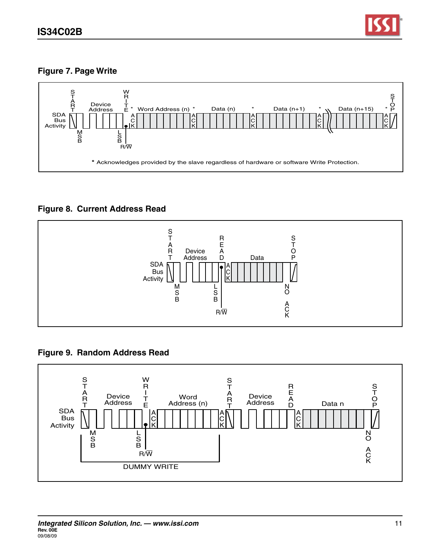

# **Figure 7. Page Write**



**Figure 8. Current Address Read**



# **Figure 9. Random Address Read**

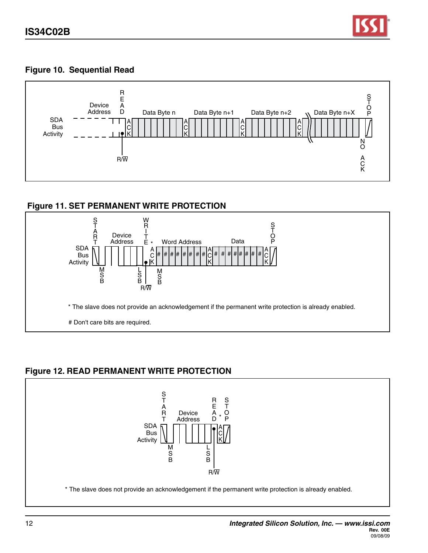

## **Figure 10. Sequential Read**



## **Figure 11. SET PERMANENT WRITE PROTECTION**



# **Figure 12. READ PERMANENT WRITE PROTECTION**

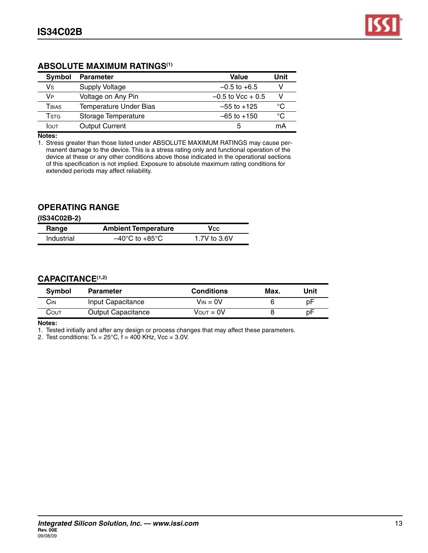## **ABSOLUTE MAXIMUM RATINGS(1)**

| Symbol               | <b>Parameter</b>       | Value               | Unit |
|----------------------|------------------------|---------------------|------|
| Vs                   | Supply Voltage         | $-0.5$ to $+6.5$    |      |
| <b>V<sub>P</sub></b> | Voltage on Any Pin     | $-0.5$ to Vcc + 0.5 |      |
| TBIAS                | Temperature Under Bias | $-55$ to $+125$     | ்ட   |
| <b>T</b> stg         | Storage Temperature    | $-65$ to $+150$     | °C   |
| Ιουτ                 | <b>Output Current</b>  | 5                   | mA   |

**Notes:**

1. Stress greater than those listed under ABSOLUTE MAXIMUM RATINGS may cause permanent damage to the device. This is a stress rating only and functional operation of the device at these or any other conditions above those indicated in the operational sections of this specification is not implied. Exposure to absolute maximum rating conditions for extended periods may affect reliability.

### **OPERATING RANGE**

**(IS34C02B-2)**

| Range      | <b>Ambient Temperature</b>         | Vcc          |
|------------|------------------------------------|--------------|
| Industrial | $-40^{\circ}$ C to $+85^{\circ}$ C | 1.7V to 3.6V |

#### **CAPACITANCE(1,2)**

| Symbol | <b>Parameter</b>          | <b>Conditions</b>     | Max. | Unit |
|--------|---------------------------|-----------------------|------|------|
| Cіn    | Input Capacitance         | $V_{IN} = 0V$         |      | рF   |
| COUT   | <b>Output Capacitance</b> | $V_{\text{OUT}} = 0V$ |      | рF   |

**Notes:**

1. Tested initially and after any design or process changes that may affect these parameters.

2. Test conditions:  $Ta = 25^{\circ}C$ ,  $f = 400$  KHz,  $Vcc = 3.0V$ .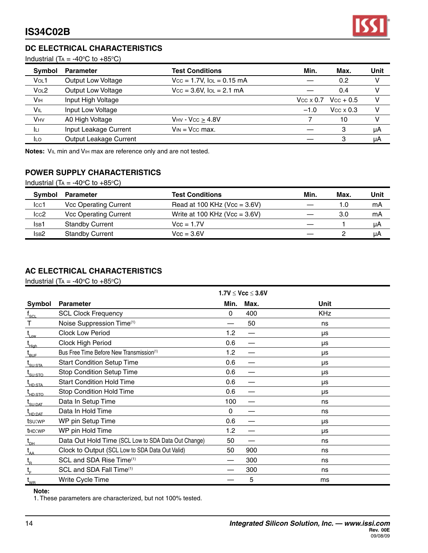

## **DC ELECTRICAL CHARACTERISTICS**

Industrial (T<sub>A</sub> = -40 $\degree$ C to +85 $\degree$ C)

| <b>Symbol</b>         | <b>Parameter</b>          | <b>Test Conditions</b>         | Min.                    | Max.                | Unit |
|-----------------------|---------------------------|--------------------------------|-------------------------|---------------------|------|
| Vo <sub>L</sub> 1     | <b>Output Low Voltage</b> | $Vcc = 1.7V$ , $IOL = 0.15$ mA |                         | 0.2                 | v    |
| VOL2                  | <b>Output Low Voltage</b> | $Vcc = 3.6V$ , $IOL = 2.1 mA$  |                         | 0.4                 |      |
| <b>V<sub>IH</sub></b> | Input High Voltage        |                                | $V_{\rm CC} \times 0.7$ | $Vcc + 0.5$         |      |
| VIL                   | Input Low Voltage         |                                | $-1.0$                  | $V_{CC} \times 0.3$ |      |
| <b>VHV</b>            | A0 High Voltage           | $V_{HV}$ - $V_{CC}$ > 4.8V     |                         | 10                  |      |
| Īц                    | Input Leakage Current     | $V_{IN}$ = $V_{CC}$ max.       |                         | З                   | μA   |
| <b>ILO</b>            | Output Leakage Current    |                                |                         | З                   | μA   |

**Notes:** Vil min and Vih max are reference only and are not tested.

## **POWER SUPPLY CHARACTERISTICS**

Industrial (T<sub>A</sub> = -40 $\degree$ C to +85 $\degree$ C)

| Symbol            | <b>Parameter</b>             | <b>Test Conditions</b>            | Min. | Max. | Unit |
|-------------------|------------------------------|-----------------------------------|------|------|------|
| $_{\text{lcc1}}$  | <b>Vcc Operating Current</b> | Read at 100 KHz ( $Vec = 3.6V$ )  |      | 1.0  | mA   |
| $_{\text{Lcc2}}$  | <b>Vcc Operating Current</b> | Write at 100 KHz ( $Vec = 3.6V$ ) |      | 3.0  | mA   |
| Is <sub>B</sub> 1 | <b>Standby Current</b>       | $Vcc = 1.7V$                      |      |      | μA   |
| lsв2              | <b>Standby Current</b>       | $Vec = 3.6V$                      |      |      | μA   |

## **AC ELECTRICAL CHARACTERISTICS**

Industrial (T<sub>A</sub> = -40 $\degree$ C to +85 $\degree$ C)

|                                             |                                                      |             | $1.7V \leq Vcc \leq 3.6V$ |            |
|---------------------------------------------|------------------------------------------------------|-------------|---------------------------|------------|
| Symbol                                      | <b>Parameter</b>                                     | Min.        | Max.                      | Unit       |
| $\boldsymbol{\mathsf{f}}_{_{\mathsf{SCL}}}$ | <b>SCL Clock Frequency</b>                           | 0           | 400                       | <b>KHz</b> |
| т                                           | Noise Suppression Time(1)                            |             | 50                        | ns         |
| $t_{Low}$                                   | <b>Clock Low Period</b>                              | 1.2         | —                         | μs         |
| L <sub>High</sub>                           | Clock High Period                                    | 0.6         | —                         | μs         |
| $L_{\text{BUF}}$                            | Bus Free Time Before New Transmission <sup>(1)</sup> | 1.2         | —                         | μs         |
| $I_{\text{SU:STA}}$                         | <b>Start Condition Setup Time</b>                    | 0.6         | —                         | μs         |
| t <sub>su:sτο</sub>                         | <b>Stop Condition Setup Time</b>                     | 0.6         | —                         | μs         |
| L <sub>HD:STA</sub>                         | <b>Start Condition Hold Time</b>                     | 0.6         |                           | μs         |
| t <sub>hd:Sto</sub>                         | <b>Stop Condition Hold Time</b>                      | 0.6         | —                         | μs         |
| t <sub>su:Dat</sub>                         | Data In Setup Time                                   | 100         |                           | ns         |
| t <sub>hd:DAT</sub>                         | Data In Hold Time                                    | $\mathbf 0$ |                           | ns         |
| tsu:wp                                      | WP pin Setup Time                                    | 0.6         | —                         | μs         |
| t <sub>HD</sub> : <sub>WP</sub>             | WP pin Hold Time                                     | 1.2         | --                        | μs         |
| $\mathrm{t}_{\text{\tiny{DH}}}$             | Data Out Hold Time (SCL Low to SDA Data Out Change)  | 50          |                           | ns         |
| $t_{AA}$                                    | Clock to Output (SCL Low to SDA Data Out Valid)      | 50          | 900                       | ns         |
| $t_{\rm R}$                                 | SCL and SDA Rise Time(1)                             |             | 300                       | ns         |
| $t_{\rm E}$                                 | SCL and SDA Fall Time(1)                             |             | 300                       | ns         |
| $t_{_{\rm WR}}$                             | Write Cycle Time                                     |             | 5                         | ms         |

#### **Note:**

1. These parameters are characterized, but not 100% tested.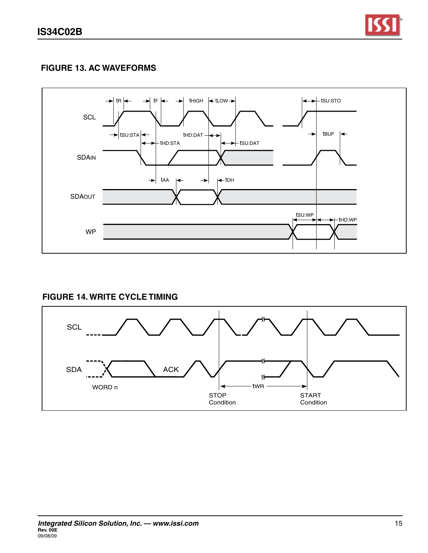

# **figure 13. AC WAVEFORMS**



# **FIGURE 14. WRITE CYCLE TIMING**

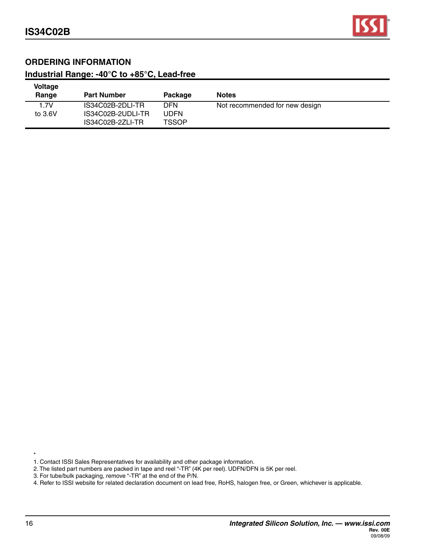

## **ORDERING INFORMATION**

# **Industrial Range: -40°C to +85°C, Lead-free**

| <b>Voltage</b><br>Range | <b>Part Number</b>                    | Package              | <b>Notes</b>                   |  |
|-------------------------|---------------------------------------|----------------------|--------------------------------|--|
| 1.7V                    | IS34C02B-2DLI-TR                      | DFN                  | Not recommended for new design |  |
| to $3.6V$               | IS34C02B-2UDLI-TR<br>IS34C02B-2ZLI-TR | UDFN<br><b>TSSOP</b> |                                |  |

1. Contact ISSI Sales Representatives for availability and other package information.

2. The listed part numbers are packed in tape and reel "-TR" (4K per reel). UDFN/DFN is 5K per reel.

3. For tube/bulk packaging, remove "-TR" at the end of the P/N.

4. Refer to ISSI website for related declaration document on lead free, RoHS, halogen free, or Green, whichever is applicable.

\*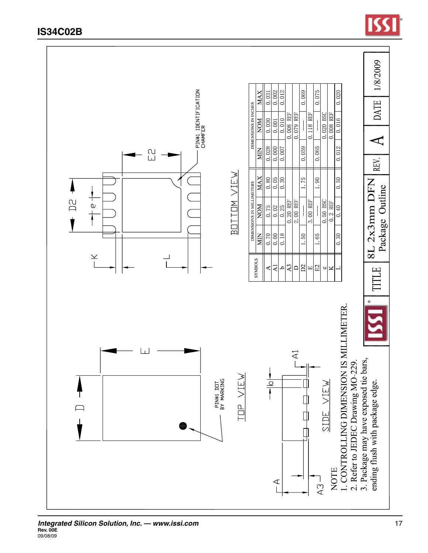

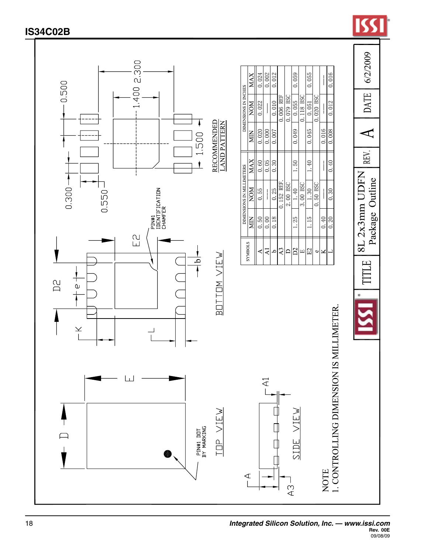